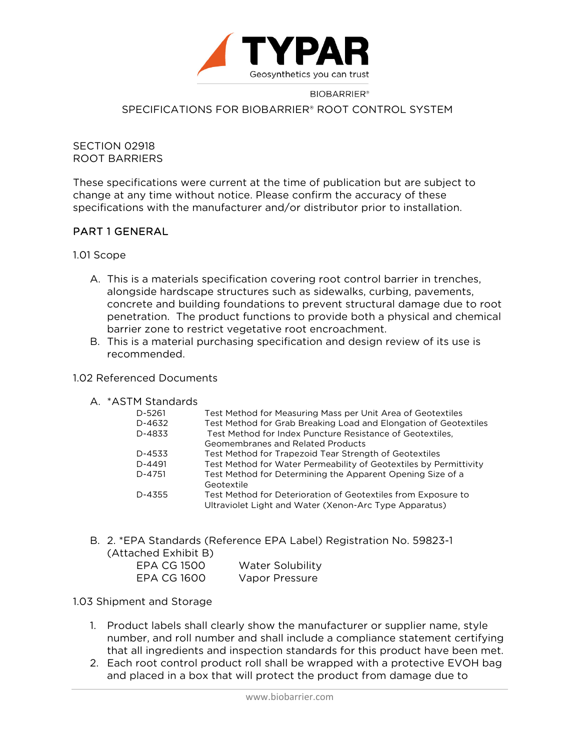

## **BIOBARRIER®** SPECIFICATIONS FOR BIOBARRIER® ROOT CONTROL SYSTEM

### SECTION 02918 ROOT BARRIERS

These specifications were current at the time of publication but are subject to change at any time without notice. Please confirm the accuracy of these specifications with the manufacturer and/or distributor prior to installation.

## PART 1 GENERAL

1.01 Scope

- A. This is a materials specification covering root control barrier in trenches, alongside hardscape structures such as sidewalks, curbing, pavements, concrete and building foundations to prevent structural damage due to root penetration. The product functions to provide both a physical and chemical barrier zone to restrict vegetative root encroachment.
- B. This is a material purchasing specification and design review of its use is recommended.

## 1.02 Referenced Documents

|  | A. *ASTM Standards |
|--|--------------------|
|  |                    |

| гтэцандагчэ |                                                                   |
|-------------|-------------------------------------------------------------------|
| $D - 5261$  | Test Method for Measuring Mass per Unit Area of Geotextiles       |
| D-4632      | Test Method for Grab Breaking Load and Elongation of Geotextiles  |
| D-4833      | Test Method for Index Puncture Resistance of Geotextiles,         |
|             | Geomembranes and Related Products                                 |
| D-4533      | Test Method for Trapezoid Tear Strength of Geotextiles            |
| D-4491      | Test Method for Water Permeability of Geotextiles by Permittivity |
| D-4751      | Test Method for Determining the Apparent Opening Size of a        |
|             | Geotextile                                                        |
| D-4355      | Test Method for Deterioration of Geotextiles from Exposure to     |
|             | Ultraviolet Light and Water (Xenon-Arc Type Apparatus)            |
|             |                                                                   |

B. 2. \*EPA Standards (Reference EPA Label) Registration No. 59823-1

| (Attached Exhibit B) |                  |
|----------------------|------------------|
| EPA CG 1500          | Water Solubility |
| EPA CG 1600          | Vapor Pressure   |

1.03 Shipment and Storage

- 1. Product labels shall clearly show the manufacturer or supplier name, style number, and roll number and shall include a compliance statement certifying that all ingredients and inspection standards for this product have been met.
- 2. Each root control product roll shall be wrapped with a protective EVOH bag and placed in a box that will protect the product from damage due to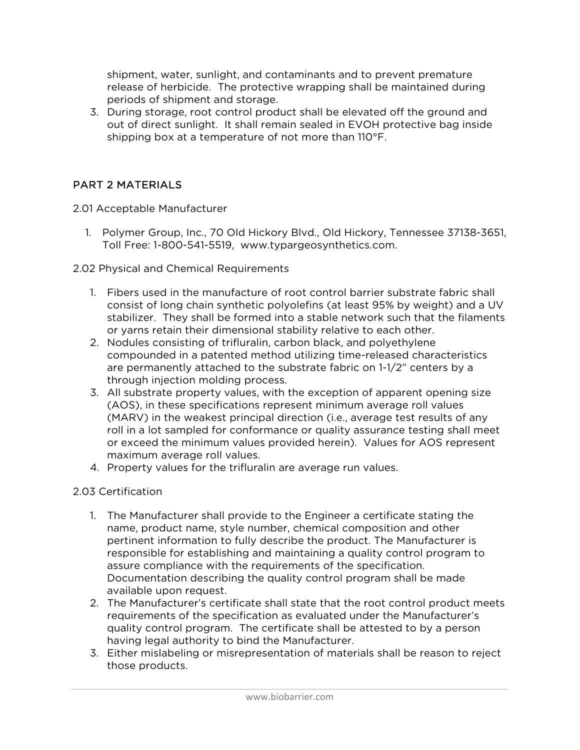shipment, water, sunlight, and contaminants and to prevent premature release of herbicide. The protective wrapping shall be maintained during periods of shipment and storage.

3. During storage, root control product shall be elevated off the ground and out of direct sunlight. It shall remain sealed in EVOH protective bag inside shipping box at a temperature of not more than 110°F.

# PART 2 MATERIALS

2.01 Acceptable Manufacturer

- 1. Polymer Group, Inc., 70 Old Hickory Blvd., Old Hickory, Tennessee 37138-3651, Toll Free: 1-800-541-5519, www.typargeosynthetics.com.
- 2.02 Physical and Chemical Requirements
	- 1. Fibers used in the manufacture of root control barrier substrate fabric shall consist of long chain synthetic polyolefins (at least 95% by weight) and a UV stabilizer. They shall be formed into a stable network such that the filaments or yarns retain their dimensional stability relative to each other.
	- 2. Nodules consisting of trifluralin, carbon black, and polyethylene compounded in a patented method utilizing time-released characteristics are permanently attached to the substrate fabric on 1-1/2" centers by a through injection molding process.
	- 3. All substrate property values, with the exception of apparent opening size (AOS), in these specifications represent minimum average roll values (MARV) in the weakest principal direction (i.e., average test results of any roll in a lot sampled for conformance or quality assurance testing shall meet or exceed the minimum values provided herein). Values for AOS represent maximum average roll values.
	- 4. Property values for the trifluralin are average run values.

## 2.03 Certification

- 1. The Manufacturer shall provide to the Engineer a certificate stating the name, product name, style number, chemical composition and other pertinent information to fully describe the product. The Manufacturer is responsible for establishing and maintaining a quality control program to assure compliance with the requirements of the specification. Documentation describing the quality control program shall be made available upon request.
- 2. The Manufacturer's certificate shall state that the root control product meets requirements of the specification as evaluated under the Manufacturer's quality control program. The certificate shall be attested to by a person having legal authority to bind the Manufacturer.
- 3. Either mislabeling or misrepresentation of materials shall be reason to reject those products.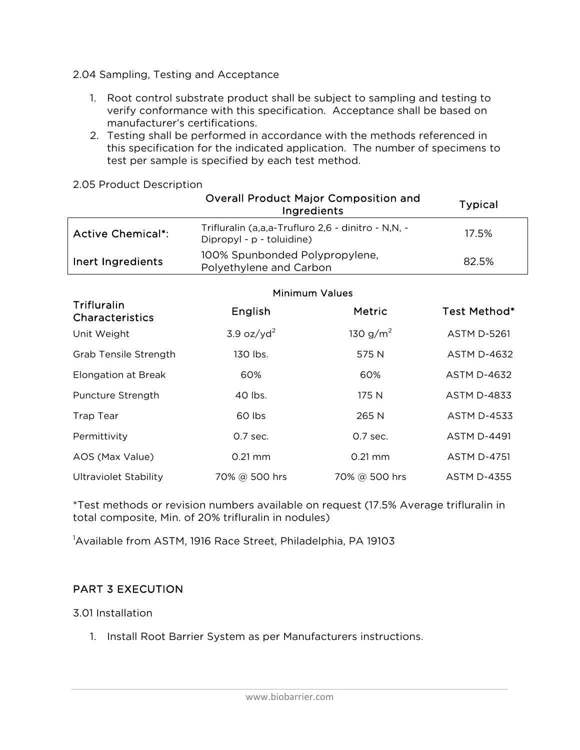2.04 Sampling, Testing and Acceptance

- 1. Root control substrate product shall be subject to sampling and testing to verify conformance with this specification. Acceptance shall be based on manufacturer's certifications.
- 2. Testing shall be performed in accordance with the methods referenced in this specification for the indicated application. The number of specimens to test per sample is specified by each test method.

|  | 2.05 Product Description |
|--|--------------------------|
|  |                          |

|                          | <b>Overall Product Major Composition and</b><br>Ingredients                     | <b>Typical</b> |
|--------------------------|---------------------------------------------------------------------------------|----------------|
| <b>Active Chemical*:</b> | Trifluralin (a,a,a-Trufluro 2,6 - dinitro - N,N, -<br>Dipropyl - p - toluidine) | 17.5%          |
| Inert Ingredients        | 100% Spunbonded Polypropylene,<br>Polyethylene and Carbon                       | 82.5%          |

|                                              | <b>Minimum Values</b>  |                   |                    |
|----------------------------------------------|------------------------|-------------------|--------------------|
| <b>Trifluralin</b><br><b>Characteristics</b> | English                | <b>Metric</b>     | Test Method*       |
| Unit Weight                                  | 3.9 oz/yd <sup>2</sup> | 130 $g/m^2$       | <b>ASTM D-5261</b> |
| Grab Tensile Strength                        | 130 lbs.               | 575 N             | <b>ASTM D-4632</b> |
| <b>Elongation at Break</b>                   | 60%                    | 60%               | <b>ASTM D-4632</b> |
| Puncture Strength                            | 40 lbs.                | 175 N             | <b>ASTM D-4833</b> |
| <b>Trap Tear</b>                             | 60 lbs                 | 265 N             | <b>ASTM D-4533</b> |
| Permittivity                                 | 0.7 sec.               | 0.7 sec.          | <b>ASTM D-4491</b> |
| AOS (Max Value)                              | $0.21 \text{ mm}$      | $0.21 \text{ mm}$ | <b>ASTM D-4751</b> |
| <b>Ultraviolet Stability</b>                 | 70% @ 500 hrs          | 70% @ 500 hrs     | <b>ASTM D-4355</b> |

\*Test methods or revision numbers available on request (17.5% Average trifluralin in total composite, Min. of 20% trifluralin in nodules)

<sup>1</sup>Available from ASTM, 1916 Race Street, Philadelphia, PA 19103

## PART 3 EXECUTION

3.01 Installation

1. Install Root Barrier System as per Manufacturers instructions.